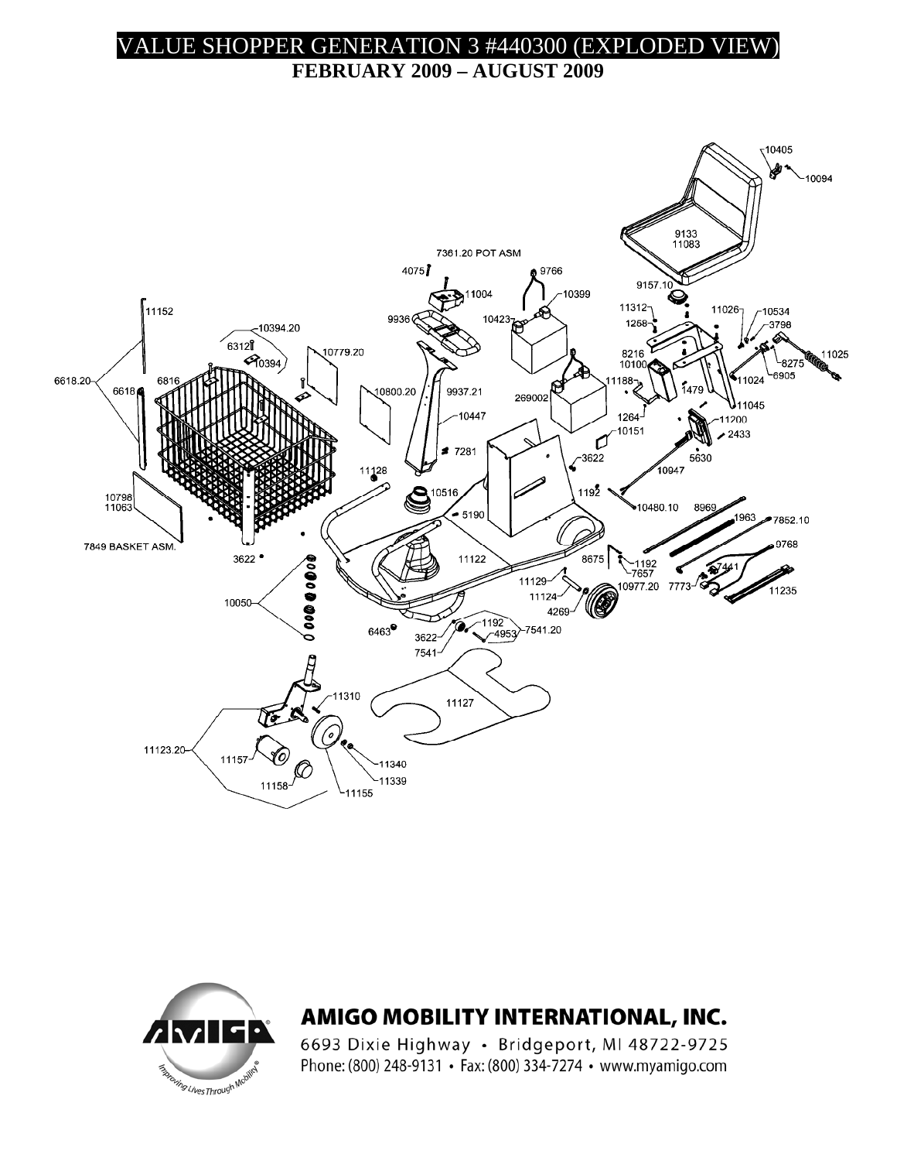## VALUE SHOPPER GENERATION 3 #440300 (EXPLODED VIEW)

**FEBRUARY 2009 – AUGUST 2009** 





## AMIGO MOBILITY INTERNATIONAL, INC.

6693 Dixie Highway · Bridgeport, MI 48722-9725 Phone: (800) 248-9131 · Fax: (800) 334-7274 · www.myamigo.com